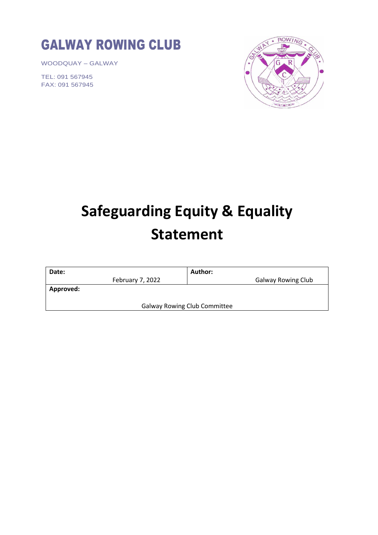

WOODQUAY – GALWAY

TEL: 091 567945 FAX: 091 567945



## **Safeguarding Equity & Equality Statement**

| Date:                               | Author:                   |
|-------------------------------------|---------------------------|
| February 7, 2022                    | <b>Galway Rowing Club</b> |
| <b>Approved:</b>                    |                           |
| <b>Galway Rowing Club Committee</b> |                           |
|                                     |                           |